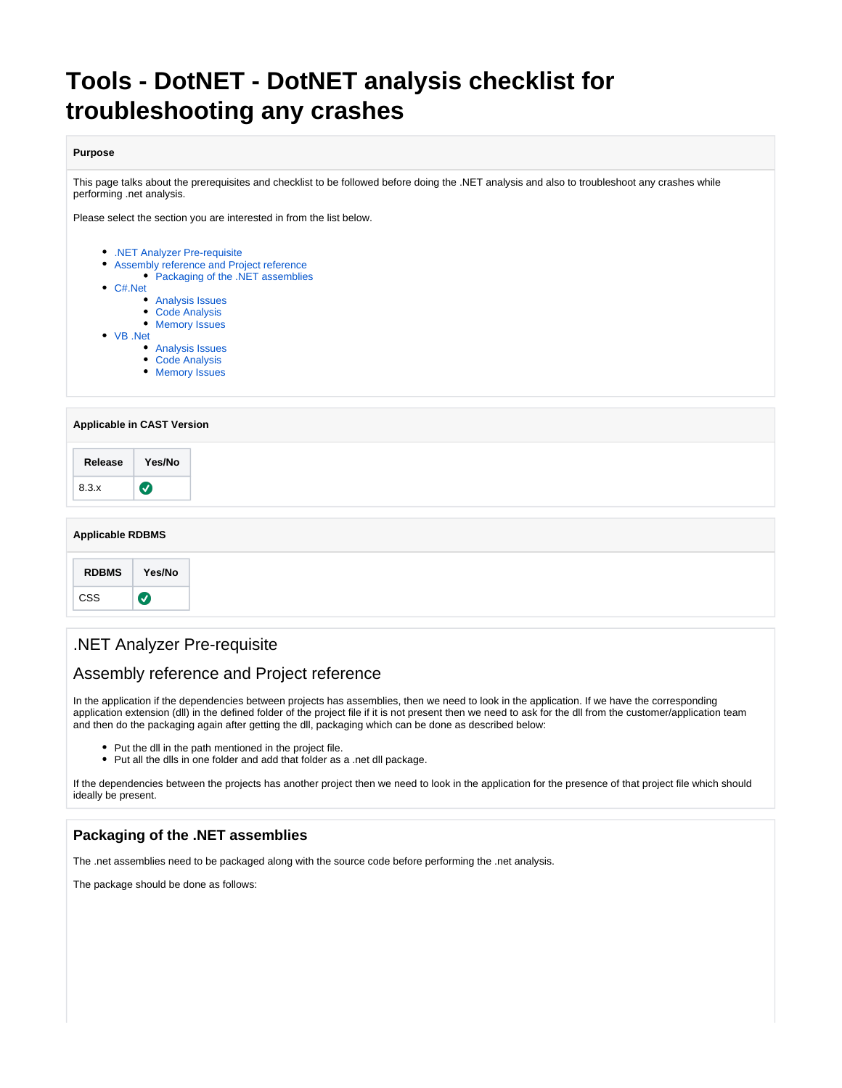# **Tools - DotNET - DotNET analysis checklist for troubleshooting any crashes**

#### **Purpose**

This page talks about the prerequisites and checklist to be followed before doing the .NET analysis and also to troubleshoot any crashes while performing .net analysis.

Please select the section you are interested in from the list below.

- [.NET Analyzer Pre-requisite](#page-0-0) [Assembly reference and Project reference](#page-0-1) • [Packaging of the .NET assemblies](#page-0-2) [C#.Net](#page-4-0) [Analysis Issues](#page-4-1) • [Code Analysis](#page-5-0) [Memory Issues](#page-5-1)
- [VB .Net](#page-6-0)
	- [Analysis Issues](#page-6-1)
		- [Code Analysis](#page-6-2)
		- [Memory Issues](#page-6-3)

#### **Applicable in CAST Version**

#### **Applicable RDBMS**

# <span id="page-0-0"></span>.NET Analyzer Pre-requisite

### <span id="page-0-1"></span>Assembly reference and Project reference

In the application if the dependencies between projects has assemblies, then we need to look in the application. If we have the corresponding application extension (dll) in the defined folder of the project file if it is not present then we need to ask for the dll from the customer/application team and then do the packaging again after getting the dll, packaging which can be done as described below:

- Put the dll in the path mentioned in the project file.
- Put all the dlls in one folder and add that folder as a .net dll package.

If the dependencies between the projects has another project then we need to look in the application for the presence of that project file which should ideally be present.

#### <span id="page-0-2"></span>**Packaging of the .NET assemblies**

The .net assemblies need to be packaged along with the source code before performing the .net analysis.

The package should be done as follows: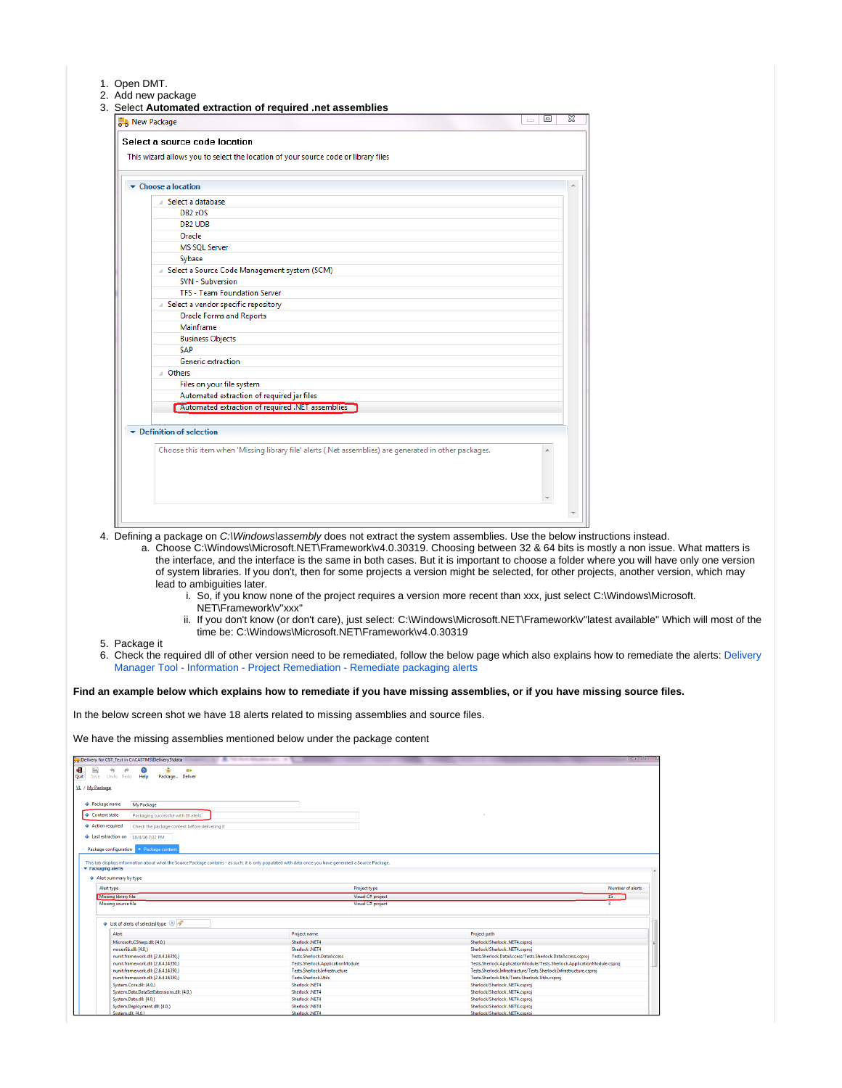#### 1. Open DMT.

- 2. Add new package
- 3. Select **Automated extraction of required .net assemblies**

| $\bullet$ Choose a location                                                                            |  |
|--------------------------------------------------------------------------------------------------------|--|
| Select a database                                                                                      |  |
| DB <sub>2</sub> zOS                                                                                    |  |
| DB <sub>2</sub> UDB                                                                                    |  |
| Oracle                                                                                                 |  |
| <b>MS SQL Server</b>                                                                                   |  |
| Sybase                                                                                                 |  |
| A Select a Source Code Management system (SCM)                                                         |  |
| <b>SVN - Subversion</b>                                                                                |  |
| <b>TFS - Team Foundation Server</b>                                                                    |  |
| A Select a vendor specific repository                                                                  |  |
| <b>Oracle Forms and Reports</b>                                                                        |  |
| Mainframe                                                                                              |  |
| <b>Business Objects</b>                                                                                |  |
| <b>SAP</b>                                                                                             |  |
| <b>Generic extraction</b>                                                                              |  |
| ⊿ Others                                                                                               |  |
| Files on your file system                                                                              |  |
| Automated extraction of required jar files                                                             |  |
| Automated extraction of required .NET assemblies                                                       |  |
| $\blacktriangleright$ Definition of selection                                                          |  |
| Choose this item when 'Missing library file' alerts (.Net assemblies) are generated in other packages. |  |
|                                                                                                        |  |

- 4. Defining a package on C:\Windows\assembly does not extract the system assemblies. Use the below instructions instead.
	- a. Choose C:\Windows\Microsoft.NET\Framework\v4.0.30319. Choosing between 32 & 64 bits is mostly a non issue. What matters is the interface, and the interface is the same in both cases. But it is important to choose a folder where you will have only one version of system libraries. If you don't, then for some projects a version might be selected, for other projects, another version, which may lead to ambiguities later.
		- i. So, if you know none of the project requires a version more recent than xxx, just select C:\Windows\Microsoft. NET\Framework\v"xxx"
		- ii. If you don't know (or don't care), just select: C:\Windows\Microsoft.NET\Framework\v"latest available" Which will most of the time be: C:\Windows\Microsoft.NET\Framework\v4.0.30319
- 5. Package it
- 6. Check the required dll of other version need to be remediated, follow the below page which also explains how to remediate the alerts: [Delivery](https://doc.castsoftware.com/display/TG/Delivery+Manager+Tool+-+Information+-+Project+Remediation+-+Remediate+packaging+alerts)  [Manager Tool - Information - Project Remediation - Remediate packaging alerts](https://doc.castsoftware.com/display/TG/Delivery+Manager+Tool+-+Information+-+Project+Remediation+-+Remediate+packaging+alerts)

**Find an example below which explains how to remediate if you have missing assemblies, or if you have missing source files.**

In the below screen shot we have 18 alerts related to missing assemblies and source files.

We have the missing assemblies mentioned below under the package content

| B Delivery for CST_Test in C:\CASTMS\Delivery5\data<br>$\overline{\phantom{a}}$                        | THE PAINT MELTING AND                                                                                                                                    | $= 4$                                                                    |
|--------------------------------------------------------------------------------------------------------|----------------------------------------------------------------------------------------------------------------------------------------------------------|--------------------------------------------------------------------------|
| 圖<br>÷<br>Ø<br>$\leftrightarrow$<br>$\Rightarrow$<br>me<br>Save Undo Redo Help Package Deliver<br>Quit |                                                                                                                                                          |                                                                          |
| V1 / My Package                                                                                        |                                                                                                                                                          |                                                                          |
| ◆ Package name<br>My Package                                                                           |                                                                                                                                                          |                                                                          |
| Content state<br>Packaging successful with 18 alerts                                                   |                                                                                                                                                          |                                                                          |
|                                                                                                        |                                                                                                                                                          |                                                                          |
| Action required<br>Check the package content before delivering it                                      |                                                                                                                                                          |                                                                          |
| $\triangleq$ Last extraction on $18/4/16$ 7:32 PM                                                      |                                                                                                                                                          |                                                                          |
| Package configuration Package content                                                                  |                                                                                                                                                          |                                                                          |
|                                                                                                        |                                                                                                                                                          |                                                                          |
|                                                                                                        | This tab displays information about what the Source Package contains - as such, it is only populated with data once you have generated a Source Package. |                                                                          |
| * Packaging alerts                                                                                     |                                                                                                                                                          |                                                                          |
|                                                                                                        |                                                                                                                                                          |                                                                          |
| Alert summary by type                                                                                  |                                                                                                                                                          |                                                                          |
| Alert type                                                                                             | Project type                                                                                                                                             | Number of alerts                                                         |
| Missing library file                                                                                   | Visual C# project                                                                                                                                        | 15                                                                       |
| Missing source file                                                                                    | Visual C# project                                                                                                                                        |                                                                          |
|                                                                                                        |                                                                                                                                                          |                                                                          |
| List of alerts of selected type (8)                                                                    |                                                                                                                                                          |                                                                          |
| <b>Alert</b>                                                                                           | Project name                                                                                                                                             | <b>Project path</b>                                                      |
| Microsoft.CSharp.dll: [4.0,]                                                                           | Sherlock .NET4                                                                                                                                           | Sherlock/Sherlock .NET4.csproj                                           |
| mscorlib.dll: [4.0.]                                                                                   | Sherlock .NET4                                                                                                                                           | Sherlock/Sherlock .NET4.csproi                                           |
| nunit.framework.dll: [2.6.4.14350.]                                                                    | <b>Tests.Sherlock.DataAccess</b>                                                                                                                         | Tests.Sherlock.DataAccess/Tests.Sherlock.DataAccess.csproj               |
| nunit.framework.dll: [2.6.4.14350,]                                                                    | Tests.Sherlock.ApplicationModule                                                                                                                         | Tests.Sherlock.ApplicationModule/Tests.Sherlock.ApplicationModule.csproj |
| nunit.framework.dll: [2.6.4.14350,]                                                                    | Tests.Sherlock.Infrastructure                                                                                                                            | Tests.Sherlock.Infrastructure/Tests.Sherlock.Infrastructure.csproj       |
|                                                                                                        |                                                                                                                                                          |                                                                          |
| nunit.framework.dll: [2.6.4.14350.]                                                                    | Tests.Sherlock.Utils                                                                                                                                     | Tests.Sherlock.Utils/Tests.Sherlock.Utils.csproi                         |
| System.Core.dll: [4.0,]                                                                                | Sherlock .NFT4                                                                                                                                           | Sherlock/Sherlock .NET4.csproj                                           |
| System.Data.DataSetExtensions.dll: [4.0.]                                                              | Sherlock .NET4                                                                                                                                           | Sherlock/Sherlock .NET4.csproi                                           |
| System.Data.dll: [4.0.]                                                                                | Sherlock .NET4                                                                                                                                           | Sherlock/Sherlock .NET4.csproj                                           |
| System.Deployment.dll: [4.0,]                                                                          | Sherlock .NET4                                                                                                                                           | Sherlock/Sherlock .NET4.csproj                                           |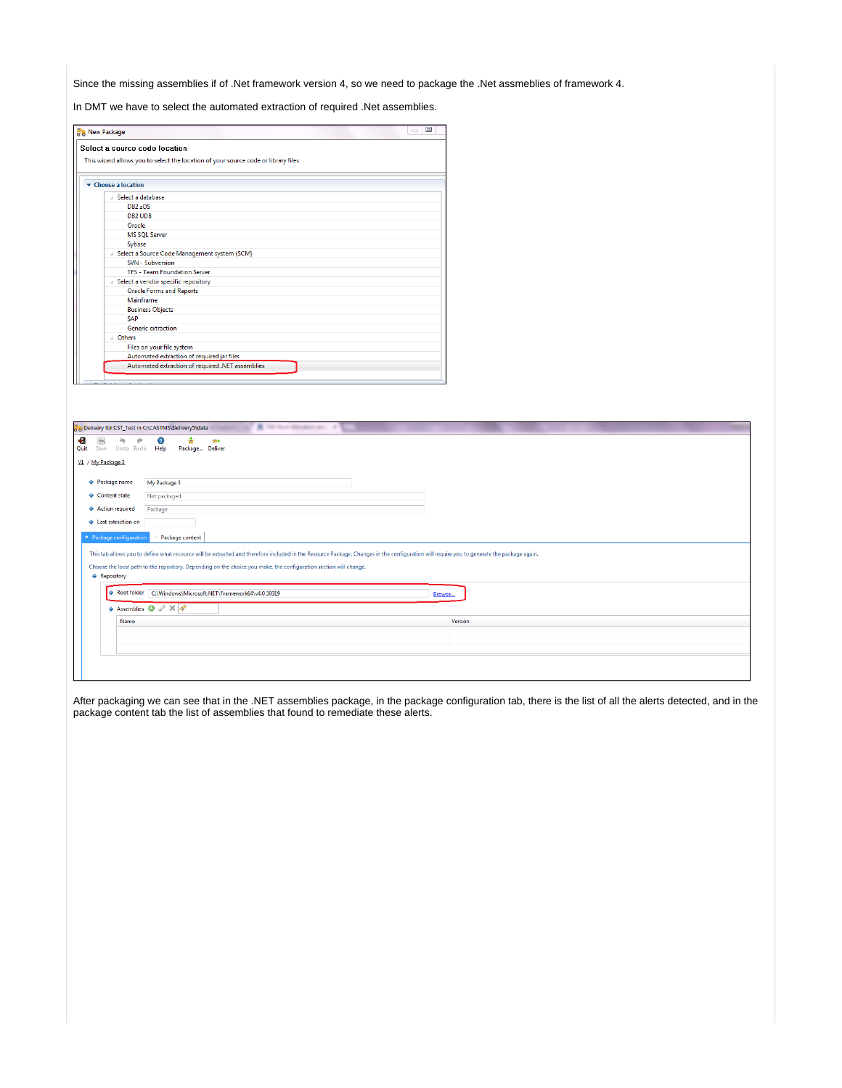Since the missing assemblies if of .Net framework version 4, so we need to package the .Net assmeblies of framework 4.

In DMT we have to select the automated extraction of required .Net assemblies.

| 回<br><b>New Package</b><br>$\equiv$<br>Select a source code location               |  |  |  |  |
|------------------------------------------------------------------------------------|--|--|--|--|
| This wizard allows you to select the location of your source code or library files |  |  |  |  |
| $\bullet$ Choose a location                                                        |  |  |  |  |
| Select a database                                                                  |  |  |  |  |
| DB <sub>2</sub> zOS                                                                |  |  |  |  |
| <b>DB2 UDB</b>                                                                     |  |  |  |  |
| Oracle                                                                             |  |  |  |  |
| <b>MS SQL Server</b>                                                               |  |  |  |  |
| Sybase                                                                             |  |  |  |  |
| Select a Source Code Management system (SCM)                                       |  |  |  |  |
| <b>SVN - Subversion</b>                                                            |  |  |  |  |
| <b>TFS - Team Foundation Server</b>                                                |  |  |  |  |
| Select a vendor specific repository                                                |  |  |  |  |
| <b>Oracle Forms and Reports</b>                                                    |  |  |  |  |
| Mainframe                                                                          |  |  |  |  |
| <b>Business Objects</b>                                                            |  |  |  |  |
| <b>SAP</b>                                                                         |  |  |  |  |
| Generic extraction                                                                 |  |  |  |  |
| <b>Others</b>                                                                      |  |  |  |  |
| Files on your file system                                                          |  |  |  |  |
| Automated extraction of required jar files                                         |  |  |  |  |
| Automated extraction of required .NET assemblies                                   |  |  |  |  |

| b Delivery for CST_Test in C:\CASTMS\Delivery5\data | ٠<br>Tell where all the above species and                                                                                                                                                                                                                                                                       |         |
|-----------------------------------------------------|-----------------------------------------------------------------------------------------------------------------------------------------------------------------------------------------------------------------------------------------------------------------------------------------------------------------|---------|
| Ð<br>H<br>↬<br>₱<br>Undo Redo Help<br>Quit<br>Save  | ÷<br>$\bullet$<br>m+<br>Package Deliver                                                                                                                                                                                                                                                                         |         |
| V1 / My Package 3                                   |                                                                                                                                                                                                                                                                                                                 |         |
| ♦ Package name                                      | My Package 3                                                                                                                                                                                                                                                                                                    |         |
| ♦ Content state                                     | Not packaged                                                                                                                                                                                                                                                                                                    |         |
| ♦ Action required                                   | Package                                                                                                                                                                                                                                                                                                         |         |
| + Last extraction on                                |                                                                                                                                                                                                                                                                                                                 |         |
| • Package configuration                             | Package content                                                                                                                                                                                                                                                                                                 |         |
| ♦ Repository                                        | This tab allows you to define what resource will be extracted and therefore included in the Resource Package. Changes in the configuration will require you to generate the package again.<br>Choose the local path to the repository. Depending on the choice you make, the configuration section will change. |         |
|                                                     | Root folder C:\Windows\Microsoft.NET\Framework64\v4.0.30319                                                                                                                                                                                                                                                     | Browse  |
|                                                     | $\triangleq$ Assemblies $\bigcirc$ $\mathscr{D} \times \mathscr{A}$                                                                                                                                                                                                                                             |         |
| Name                                                |                                                                                                                                                                                                                                                                                                                 | Version |
|                                                     |                                                                                                                                                                                                                                                                                                                 |         |
|                                                     |                                                                                                                                                                                                                                                                                                                 |         |
|                                                     |                                                                                                                                                                                                                                                                                                                 |         |
|                                                     |                                                                                                                                                                                                                                                                                                                 |         |

After packaging we can see that in the .NET assemblies package, in the package configuration tab, there is the list of all the alerts detected, and in the package content tab the list of assemblies that found to remediate these alerts.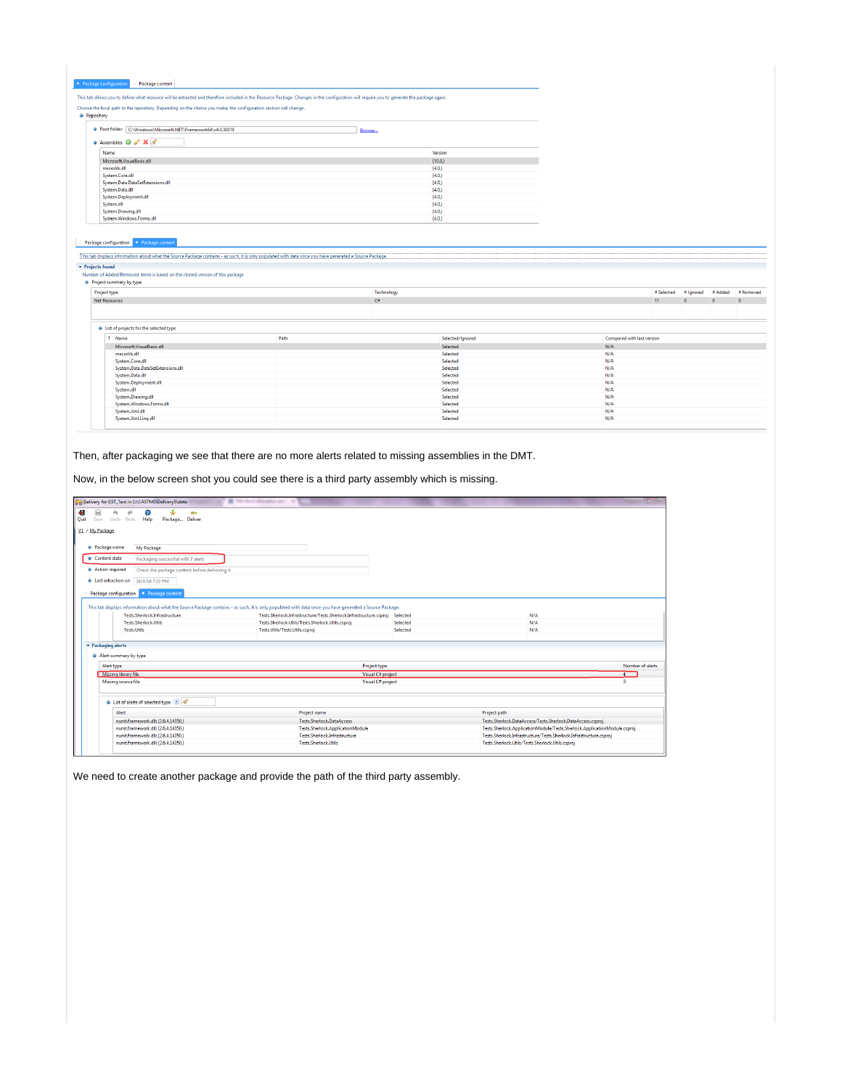| This tab allows you to define what resource will be extracted and therefore included in the Resource Package. Changes in the configuration will require you to generate the package again.<br>Choose the local path to the repository. Depending on the choice you make, the configuration section will change.<br><b>A</b> Repository |      |                      |                            |            |            |            |           |
|----------------------------------------------------------------------------------------------------------------------------------------------------------------------------------------------------------------------------------------------------------------------------------------------------------------------------------------|------|----------------------|----------------------------|------------|------------|------------|-----------|
|                                                                                                                                                                                                                                                                                                                                        |      |                      |                            |            |            |            |           |
|                                                                                                                                                                                                                                                                                                                                        |      |                      |                            |            |            |            |           |
|                                                                                                                                                                                                                                                                                                                                        |      |                      |                            |            |            |            |           |
|                                                                                                                                                                                                                                                                                                                                        |      |                      |                            |            |            |            |           |
| Root folder C:\Windows\Microsoft.NET\Framework64\v4.0.30319                                                                                                                                                                                                                                                                            |      | Browse               |                            |            |            |            |           |
| Assemblies O & X P                                                                                                                                                                                                                                                                                                                     |      |                      |                            |            |            |            |           |
| Name                                                                                                                                                                                                                                                                                                                                   |      | Version              |                            |            |            |            |           |
| Microsoft.VisualBasic.dll                                                                                                                                                                                                                                                                                                              |      | [10.0]               |                            |            |            |            |           |
| mscorlib.dll                                                                                                                                                                                                                                                                                                                           |      | [4.0]                |                            |            |            |            |           |
| System.Core.dll                                                                                                                                                                                                                                                                                                                        |      | [4.0]                |                            |            |            |            |           |
| System.Data.DataSetExtensions.dll                                                                                                                                                                                                                                                                                                      |      | [4.0]                |                            |            |            |            |           |
| System.Data.dll                                                                                                                                                                                                                                                                                                                        |      | [4.0]                |                            |            |            |            |           |
| System.Deployment.dll                                                                                                                                                                                                                                                                                                                  |      | [4.0]                |                            |            |            |            |           |
| System.dll                                                                                                                                                                                                                                                                                                                             |      | [4.0]                |                            |            |            |            |           |
| System.Drawing.dll                                                                                                                                                                                                                                                                                                                     |      | [4.0]                |                            |            |            |            |           |
| System.Windows.Forms.dll                                                                                                                                                                                                                                                                                                               |      | [4.0]                |                            |            |            |            |           |
| Package configuration . Package content<br>This tab displays information about what the Source Package contains - as such, it is only populated with data once you have generated a Source Package.<br>• Projects found                                                                                                                |      |                      |                            |            |            |            |           |
|                                                                                                                                                                                                                                                                                                                                        |      |                      |                            |            |            |            |           |
| Number of Added/Removed items is based on the cloned version of this package<br>♦ Project summary by type<br>Project type                                                                                                                                                                                                              |      | Technology           |                            | # Selected | # Ignored  | # Added    |           |
| <b>Net Resources</b>                                                                                                                                                                                                                                                                                                                   |      | C#                   |                            | 11         | $\sqrt{2}$ | $\sqrt{2}$ | $\Omega$  |
|                                                                                                                                                                                                                                                                                                                                        |      |                      |                            |            |            |            |           |
|                                                                                                                                                                                                                                                                                                                                        |      |                      |                            |            |            |            |           |
|                                                                                                                                                                                                                                                                                                                                        |      |                      |                            |            |            |            |           |
| T. Name                                                                                                                                                                                                                                                                                                                                | Path | Selected/Ignored     | Compared with last version |            |            |            |           |
| Microsoft.VisualBasic.dll                                                                                                                                                                                                                                                                                                              |      | Selected             | N/A                        |            |            |            |           |
| mscorlib.dll                                                                                                                                                                                                                                                                                                                           |      | Selected             | N/A                        |            |            |            |           |
| System.Core.dll                                                                                                                                                                                                                                                                                                                        |      | Selected             | N/A                        |            |            |            |           |
| System.Data.DataSetExtensions.dll                                                                                                                                                                                                                                                                                                      |      | Selected             | N/A                        |            |            |            |           |
| System.Data.dll                                                                                                                                                                                                                                                                                                                        |      | Selected             | N/A                        |            |            |            |           |
| System.Deployment.dll                                                                                                                                                                                                                                                                                                                  |      | Selected             | N/A                        |            |            |            |           |
| System.dll                                                                                                                                                                                                                                                                                                                             |      | Selected             | N/A                        |            |            |            |           |
| List of projects for the selected type<br>System.Drawing.dll                                                                                                                                                                                                                                                                           |      | Selected<br>Selected | N/A<br>N/A                 |            |            |            |           |
| System.Windows.Forms.dll<br>System.Xml.dll                                                                                                                                                                                                                                                                                             |      | Selected             | N/A                        |            |            |            | # Removed |

Then, after packaging we see that there are no more alerts related to missing assemblies in the DMT.

Now, in the below screen shot you could see there is a third party assembly which is missing.

| A 10 to 4 Houston and 14<br>$\Box$<br>Delivery for CST_Test in C:\CASTMS\Delivery5\data                                               |                                                |                                                                                                                                                          |                   |              |                                                                          |                  |
|---------------------------------------------------------------------------------------------------------------------------------------|------------------------------------------------|----------------------------------------------------------------------------------------------------------------------------------------------------------|-------------------|--------------|--------------------------------------------------------------------------|------------------|
| 0<br>÷<br>Undo Redo Help<br>Quit<br>Save                                                                                              | <b>MA</b><br>Package Deliver                   |                                                                                                                                                          |                   |              |                                                                          |                  |
| V1 / My Package                                                                                                                       |                                                |                                                                                                                                                          |                   |              |                                                                          |                  |
| <b>◆ Package name</b><br>My Package                                                                                                   |                                                |                                                                                                                                                          |                   |              |                                                                          |                  |
| ♦ Content state                                                                                                                       | Packaging successful with 7 alerts             |                                                                                                                                                          |                   |              |                                                                          |                  |
| ♦ Action required                                                                                                                     | Check the package content before delivering it |                                                                                                                                                          |                   |              |                                                                          |                  |
| Last extraction on 18/4/16 7:32 PM                                                                                                    |                                                |                                                                                                                                                          |                   |              |                                                                          |                  |
| Package configuration . Package content                                                                                               |                                                |                                                                                                                                                          |                   |              |                                                                          |                  |
|                                                                                                                                       |                                                | This tab displays information about what the Source Package contains - as such, it is only populated with data once you have generated a Source Package. |                   |              |                                                                          |                  |
| Tests.Sherlock.Infrastructure                                                                                                         |                                                | Tests.Sherlock.Infrastructure/Tests.Sherlock.Infrastructure.csproj                                                                                       | Selected          |              | N/A                                                                      |                  |
| Tests.Sherlock.Utils                                                                                                                  |                                                | Tests.Sherlock.Utils/Tests.Sherlock.Utils.csproj                                                                                                         | Selected          |              | N/A                                                                      |                  |
| <b>Tests.Utils</b>                                                                                                                    |                                                | Tests.Utils/Tests.Utils.csproj                                                                                                                           | Selected          |              | N/A                                                                      |                  |
| $\blacktriangleright$ Packaging alerts                                                                                                |                                                |                                                                                                                                                          |                   |              |                                                                          |                  |
| A Alert summary by type                                                                                                               |                                                |                                                                                                                                                          |                   |              |                                                                          |                  |
| Alert type                                                                                                                            |                                                |                                                                                                                                                          | Project type      |              |                                                                          | Number of alerts |
| Missing library file                                                                                                                  |                                                |                                                                                                                                                          | Visual C# project |              |                                                                          | $\sqrt{4}$       |
| Missing source file                                                                                                                   |                                                |                                                                                                                                                          | Visual C# project |              |                                                                          |                  |
|                                                                                                                                       |                                                |                                                                                                                                                          |                   |              |                                                                          |                  |
| $\textcolor{blue}{\blacklozenge}$ List of alerts of selected type $\textcolor{blue}{\blacklozenge}$ $\textcolor{blue}{\blacklozenge}$ |                                                |                                                                                                                                                          |                   |              |                                                                          |                  |
| Alert                                                                                                                                 |                                                | Project name                                                                                                                                             |                   | Project path |                                                                          |                  |
| nunit.framework.dll: [2.6.4.14350.]                                                                                                   |                                                | Tests.Sherlock.DataAccess                                                                                                                                |                   |              | Tests.Sherlock.DataAccess/Tests.Sherlock.DataAccess.csproj               |                  |
| nunit.framework.dll: [2.6.4.14350,]                                                                                                   |                                                | Tests.Sherlock.ApplicationModule                                                                                                                         |                   |              | Tests.Sherlock.ApplicationModule/Tests.Sherlock.ApplicationModule.csproj |                  |
| nunit.framework.dll: [2.6.4.14350,]                                                                                                   |                                                | Tests.Sherlock.Infrastructure                                                                                                                            |                   |              | Tests.Sherlock.Infrastructure/Tests.Sherlock.Infrastructure.csproj       |                  |
| nunit.framework.dll: [2.6.4.14350,]                                                                                                   |                                                | <b>Tests.Sherlock.Utils</b>                                                                                                                              |                   |              | Tests.Sherlock.Utils/Tests.Sherlock.Utils.csproj                         |                  |
|                                                                                                                                       |                                                |                                                                                                                                                          |                   |              |                                                                          |                  |

We need to create another package and provide the path of the third party assembly.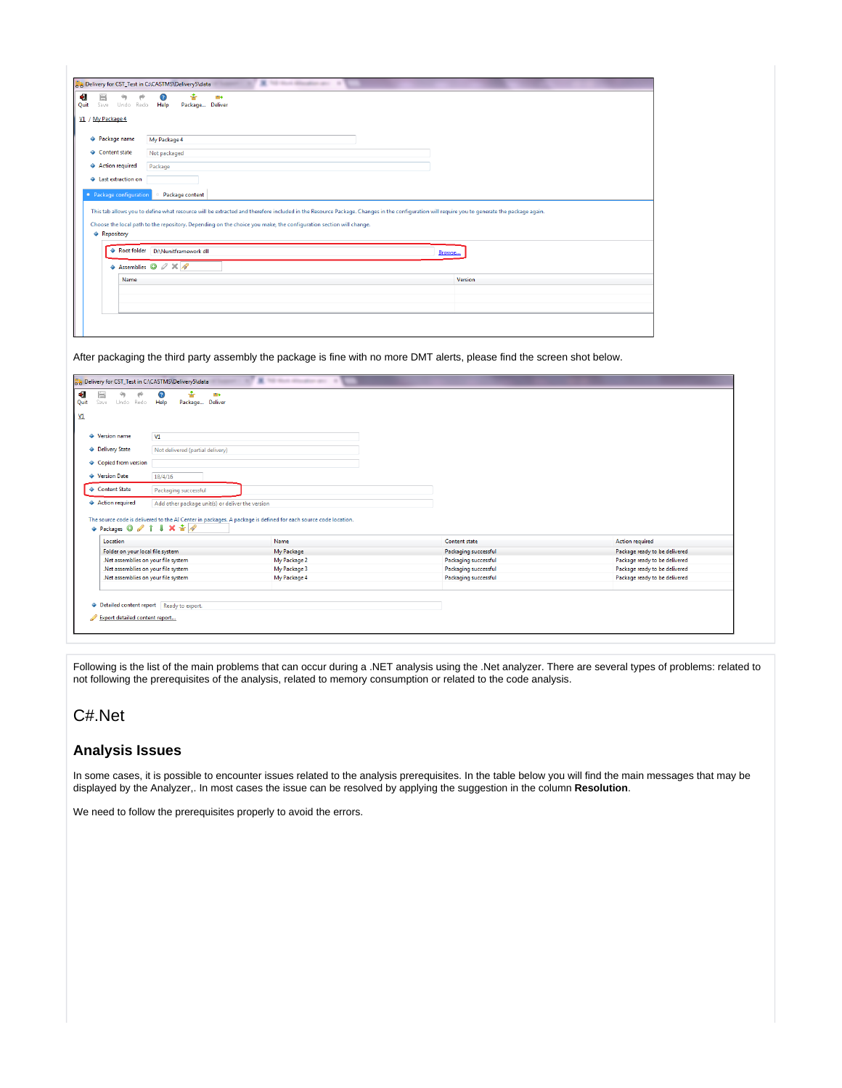| Undo Redo<br>Save       | me<br>Help<br>Package Deliver                                                                                                                                                                                 |         |
|-------------------------|---------------------------------------------------------------------------------------------------------------------------------------------------------------------------------------------------------------|---------|
| V1 / My Package 4       |                                                                                                                                                                                                               |         |
| ◆ Package name          | My Package 4                                                                                                                                                                                                  |         |
| ♦ Content state         | Not packaged                                                                                                                                                                                                  |         |
| ♦ Action required       | Package                                                                                                                                                                                                       |         |
|                         |                                                                                                                                                                                                               |         |
| + Last extraction on    |                                                                                                                                                                                                               |         |
| • Package configuration | Package content<br>This tab allows you to define what resource will be extracted and therefore included in the Resource Package. Changes in the configuration will require you to generate the package again. |         |
| ♦ Repository            | Choose the local path to the repository. Depending on the choice you make, the configuration section will change.                                                                                             |         |
|                         | Root folder D:\Nunitframework dll<br>Browse                                                                                                                                                                   |         |
|                         | ◆ Assemblies ◎ 2 ※ /                                                                                                                                                                                          |         |
| Name                    |                                                                                                                                                                                                               | Version |
|                         |                                                                                                                                                                                                               |         |

After packaging the third party assembly the package is fine with no more DMT alerts, please find the screen shot below.

| R 10 line display are 10<br>b Delivery for CST_Test in C:\CASTMS\Delivery5\data                                                                       |                                                  |                                                                                                                |                      |                               |
|-------------------------------------------------------------------------------------------------------------------------------------------------------|--------------------------------------------------|----------------------------------------------------------------------------------------------------------------|----------------------|-------------------------------|
| ⇔<br>Quit<br>Save<br>Undo Redo Help                                                                                                                   | ÷<br>Ω,<br>me<br>Package Deliver                 |                                                                                                                |                      |                               |
|                                                                                                                                                       |                                                  |                                                                                                                |                      |                               |
| ♦ Version name                                                                                                                                        | V1                                               |                                                                                                                |                      |                               |
| ♦ Delivery State                                                                                                                                      | Not delivered (partial delivery)                 |                                                                                                                |                      |                               |
| ♦ Copied from version                                                                                                                                 |                                                  |                                                                                                                |                      |                               |
| ♦ Version Date                                                                                                                                        | 18/4/16                                          |                                                                                                                |                      |                               |
| ♦ Content State                                                                                                                                       |                                                  |                                                                                                                |                      |                               |
|                                                                                                                                                       | Packaging successful                             |                                                                                                                |                      |                               |
| ♦ Action required                                                                                                                                     | Add other package unit(s) or deliver the version |                                                                                                                |                      |                               |
|                                                                                                                                                       |                                                  | The source code is delivered to the AI Center in packages. A package is defined for each source code location. |                      |                               |
| $\leftrightarrow$ Packages $\circ$ $\circ$ $\uparrow$ $\downarrow$ $\times$ $\stackrel{\rightharpoonup}{\bullet}$ $\stackrel{\rightharpoonup}{\circ}$ |                                                  |                                                                                                                |                      |                               |
|                                                                                                                                                       |                                                  |                                                                                                                |                      |                               |
| Location                                                                                                                                              |                                                  | Name                                                                                                           | Content state        | <b>Action required</b>        |
| Folder on your local file system                                                                                                                      |                                                  | My Package                                                                                                     | Packaging successful | Package ready to be delivered |
| .Net assemblies on your file system                                                                                                                   |                                                  | My Package 2                                                                                                   | Packaging successful | Package ready to be delivered |
| .Net assemblies on your file system                                                                                                                   |                                                  | My Package 3                                                                                                   | Packaging successful | Package ready to be delivered |
| .Net assemblies on your file system                                                                                                                   |                                                  | My Package 4                                                                                                   | Packaging successful | Package ready to be delivered |
|                                                                                                                                                       |                                                  |                                                                                                                |                      |                               |
|                                                                                                                                                       |                                                  |                                                                                                                |                      |                               |
| ◆ Detailed content report Ready to export.                                                                                                            |                                                  |                                                                                                                |                      |                               |
|                                                                                                                                                       |                                                  |                                                                                                                |                      |                               |
| Export detailed content report                                                                                                                        |                                                  |                                                                                                                |                      |                               |

Following is the list of the main problems that can occur during a .NET analysis using the .Net analyzer. There are several types of problems: related to not following the prerequisites of the analysis, related to memory consumption or related to the code analysis.

# <span id="page-4-0"></span>C#.Net

#### <span id="page-4-1"></span>**Analysis Issues**

In some cases, it is possible to encounter issues related to the analysis prerequisites. In the table below you will find the main messages that may be displayed by the Analyzer,. In most cases the issue can be resolved by applying the suggestion in the column **Resolution**.

We need to follow the prerequisites properly to avoid the errors.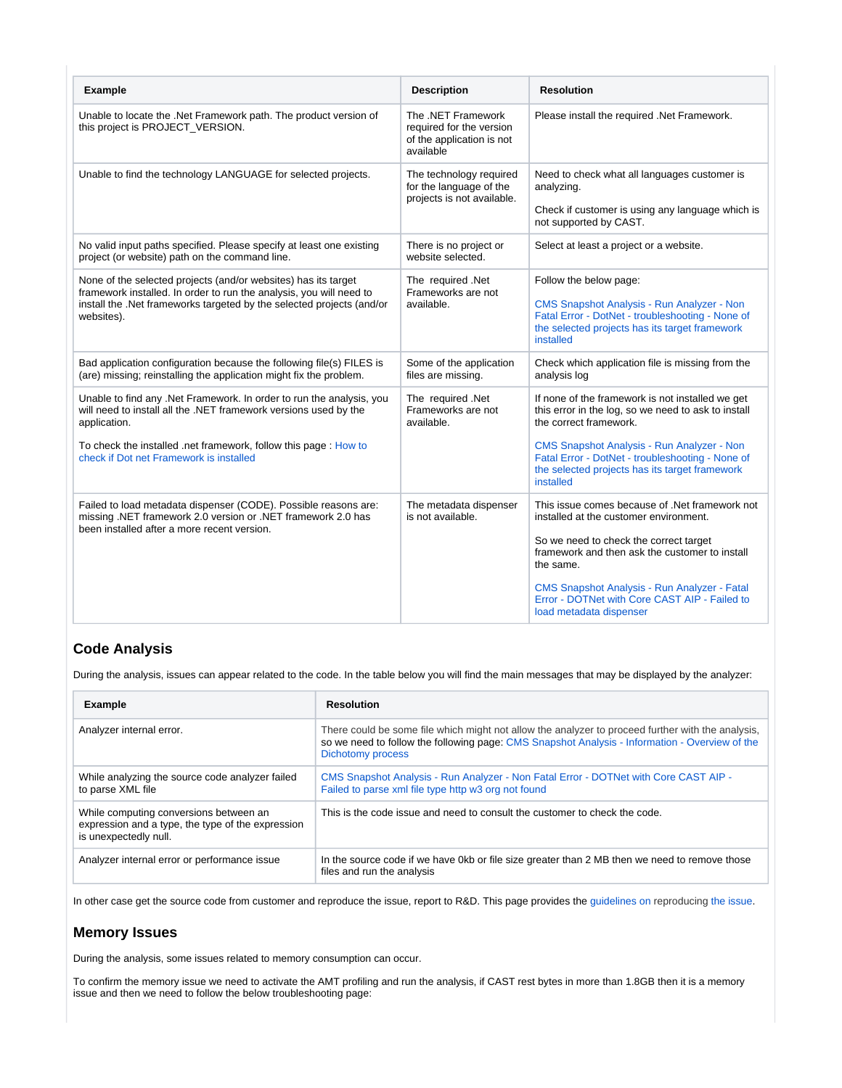| <b>Example</b>                                                                                                                                                                                                                                                         | <b>Description</b>                                                                       | <b>Resolution</b>                                                                                                                                                                                                                                                                                                                    |
|------------------------------------------------------------------------------------------------------------------------------------------------------------------------------------------------------------------------------------------------------------------------|------------------------------------------------------------------------------------------|--------------------------------------------------------------------------------------------------------------------------------------------------------------------------------------------------------------------------------------------------------------------------------------------------------------------------------------|
| Unable to locate the .Net Framework path. The product version of<br>this project is PROJECT_VERSION.                                                                                                                                                                   | The .NET Framework<br>required for the version<br>of the application is not<br>available | Please install the required .Net Framework.                                                                                                                                                                                                                                                                                          |
| Unable to find the technology LANGUAGE for selected projects.                                                                                                                                                                                                          | The technology required<br>for the language of the<br>projects is not available.         | Need to check what all languages customer is<br>analyzing.<br>Check if customer is using any language which is<br>not supported by CAST.                                                                                                                                                                                             |
| No valid input paths specified. Please specify at least one existing<br>project (or website) path on the command line.                                                                                                                                                 | There is no project or<br>website selected.                                              | Select at least a project or a website.                                                                                                                                                                                                                                                                                              |
| None of the selected projects (and/or websites) has its target<br>framework installed. In order to run the analysis, you will need to<br>install the .Net frameworks targeted by the selected projects (and/or<br>websites).                                           | The required .Net<br>Frameworks are not<br>available.                                    | Follow the below page:<br><b>CMS Snapshot Analysis - Run Analyzer - Non</b><br>Fatal Error - DotNet - troubleshooting - None of<br>the selected projects has its target framework<br>installed                                                                                                                                       |
| Bad application configuration because the following file(s) FILES is<br>(are) missing; reinstalling the application might fix the problem.                                                                                                                             | Some of the application<br>files are missing.                                            | Check which application file is missing from the<br>analysis log                                                                                                                                                                                                                                                                     |
| Unable to find any .Net Framework. In order to run the analysis, you<br>will need to install all the .NET framework versions used by the<br>application.<br>To check the installed .net framework, follow this page: How to<br>check if Dot net Framework is installed | The required .Net<br>Frameworks are not<br>available.                                    | If none of the framework is not installed we get<br>this error in the log, so we need to ask to install<br>the correct framework.<br><b>CMS Snapshot Analysis - Run Analyzer - Non</b><br>Fatal Error - DotNet - troubleshooting - None of<br>the selected projects has its target framework<br>installed                            |
| Failed to load metadata dispenser (CODE). Possible reasons are:<br>missing .NET framework 2.0 version or .NET framework 2.0 has<br>been installed after a more recent version.                                                                                         | The metadata dispenser<br>is not available.                                              | This issue comes because of .Net framework not<br>installed at the customer environment.<br>So we need to check the correct target<br>framework and then ask the customer to install<br>the same.<br><b>CMS Snapshot Analysis - Run Analyzer - Fatal</b><br>Error - DOTNet with Core CAST AIP - Failed to<br>load metadata dispenser |

## <span id="page-5-0"></span>**Code Analysis**

During the analysis, issues can appear related to the code. In the table below you will find the main messages that may be displayed by the analyzer:

| <b>Example</b>                                                                                                       | <b>Resolution</b>                                                                                                                                                                                                        |
|----------------------------------------------------------------------------------------------------------------------|--------------------------------------------------------------------------------------------------------------------------------------------------------------------------------------------------------------------------|
| Analyzer internal error.                                                                                             | There could be some file which might not allow the analyzer to proceed further with the analysis,<br>so we need to follow the following page: CMS Snapshot Analysis - Information - Overview of the<br>Dichotomy process |
| While analyzing the source code analyzer failed<br>to parse XML file                                                 | CMS Snapshot Analysis - Run Analyzer - Non Fatal Error - DOTNet with Core CAST AIP -<br>Failed to parse xml file type http w3 org not found                                                                              |
| While computing conversions between an<br>expression and a type, the type of the expression<br>is unexpectedly null. | This is the code issue and need to consult the customer to check the code.                                                                                                                                               |
| Analyzer internal error or performance issue                                                                         | In the source code if we have 0kb or file size greater than 2 MB then we need to remove those<br>files and run the analysis                                                                                              |

In other case get the source code from customer and reproduce the issue, report to R&D. This page provides th[e guidelines on reproducing the issue](https://doc.castsoftware.com/pages/viewpage.action?pageId=148419967).

### <span id="page-5-1"></span>**Memory Issues**

During the analysis, some issues related to memory consumption can occur.

To confirm the memory issue we need to activate the AMT profiling and run the analysis, if CAST rest bytes in more than 1.8GB then it is a memory issue and then we need to follow the below troubleshooting page: